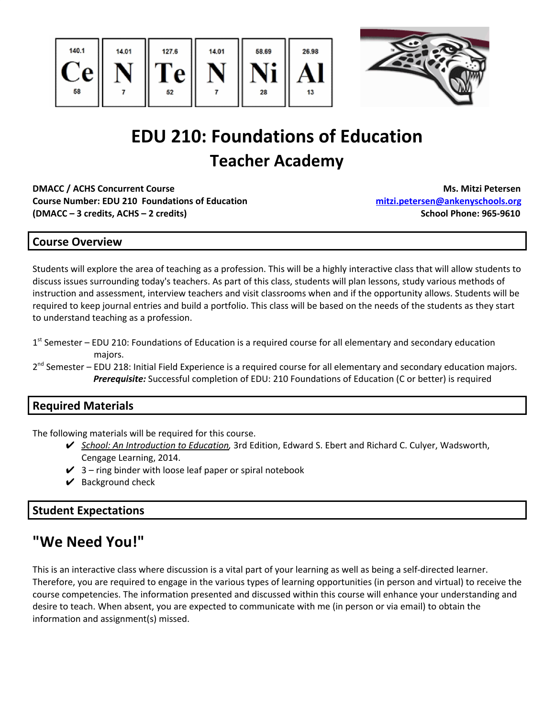



# **EDU 210: Foundations of Education Teacher Academy**

**DMACC / ACHS Concurrent Course Ms. Mitzi Petersen Course Number: EDU 210 Foundations of Education [mitzi.petersen@ankenyschools.org](mailto:mitzi.petersen@ankenyschools.org) (DMACC – 3 credits, ACHS – 2 credits) School Phone: 965-9610**

## **Course Overview**

Students will explore the area of teaching as a profession. This will be a highly interactive class that will allow students to discuss issues surrounding today's teachers. As part of this class, students will plan lessons, study various methods of instruction and assessment, interview teachers and visit classrooms when and if the opportunity allows. Students will be required to keep journal entries and build a portfolio. This class will be based on the needs of the students as they start to understand teaching as a profession.

- 1<sup>st</sup> Semester EDU 210: Foundations of Education is a required course for all elementary and secondary education majors.
- 2<sup>nd</sup> Semester EDU 218: Initial Field Experience is a required course for all elementary and secondary education majors. *Prerequisite:* Successful completion of EDU: 210 Foundations of Education (C or better) is required

## **Required Materials**

The following materials will be required for this course.

- ✔ *School: An Introduction to Education,* 3rd Edition, Edward S. Ebert and Richard C. Culyer, Wadsworth, Cengage Learning, 2014.
- $\checkmark$  3 ring binder with loose leaf paper or spiral notebook
- $\vee$  Background check

## **Student Expectations**

## **"We Need You!"**

This is an interactive class where discussion is a vital part of your learning as well as being a self-directed learner. Therefore, you are required to engage in the various types of learning opportunities (in person and virtual) to receive the course competencies. The information presented and discussed within this course will enhance your understanding and desire to teach. When absent, you are expected to communicate with me (in person or via email) to obtain the information and assignment(s) missed.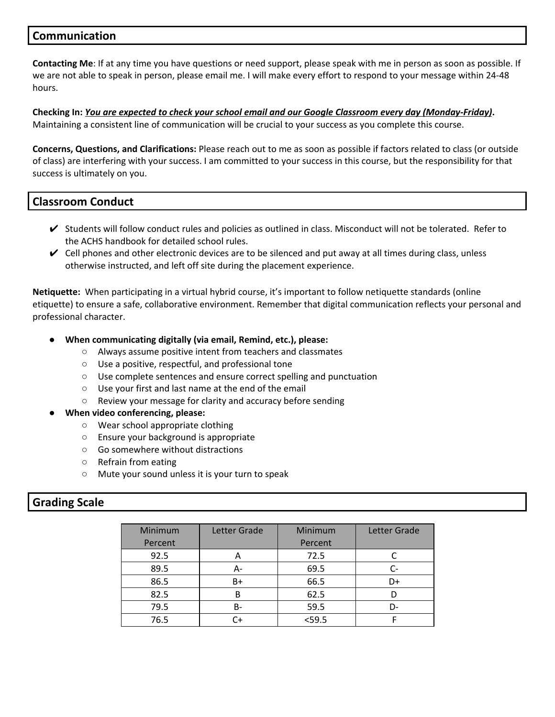## **Communication**

**Contacting Me**: If at any time you have questions or need support, please speak with me in person as soon as possible. If we are not able to speak in person, please email me. I will make every effort to respond to your message within 24-48 hours.

Checking In: You are expected to check your school email and our Google Classroom every day (Monday-Friday). Maintaining a consistent line of communication will be crucial to your success as you complete this course.

**Concerns, Questions, and Clarifications:** Please reach out to me as soon as possible if factors related to class (or outside of class) are interfering with your success. I am committed to your success in this course, but the responsibility for that success is ultimately on you.

## **Classroom Conduct**

- $\checkmark$  Students will follow conduct rules and policies as outlined in class. Misconduct will not be tolerated. Refer to the ACHS handbook for detailed school rules.
- $\vee$  Cell phones and other electronic devices are to be silenced and put away at all times during class, unless otherwise instructed, and left off site during the placement experience.

**Netiquette:** When participating in a virtual hybrid course, it's important to follow netiquette standards (online etiquette) to ensure a safe, collaborative environment. Remember that digital communication reflects your personal and professional character.

- **● When communicating digitally (via email, Remind, etc.), please:**
	- Always assume positive intent from teachers and classmates
	- Use a positive, respectful, and professional tone
	- Use complete sentences and ensure correct spelling and punctuation
	- Use your first and last name at the end of the email
	- Review your message for clarity and accuracy before sending
- **● When video conferencing, please:**
	- Wear school appropriate clothing
	- Ensure your background is appropriate
	- Go somewhere without distractions
	- Refrain from eating
	- Mute your sound unless it is your turn to speak

## **Grading Scale**

| Minimum<br>Percent | Letter Grade | Minimum<br>Percent | Letter Grade |
|--------------------|--------------|--------------------|--------------|
| 92.5               | A            | 72.5               |              |
| 89.5               | А-           | 69.5               |              |
| 86.5               | B+           | 66.5               | D+           |
| 82.5               | в            | 62.5               |              |
| 79.5               | B-           | 59.5               | D-           |
| 76.5               | C+           | $<$ 59.5           |              |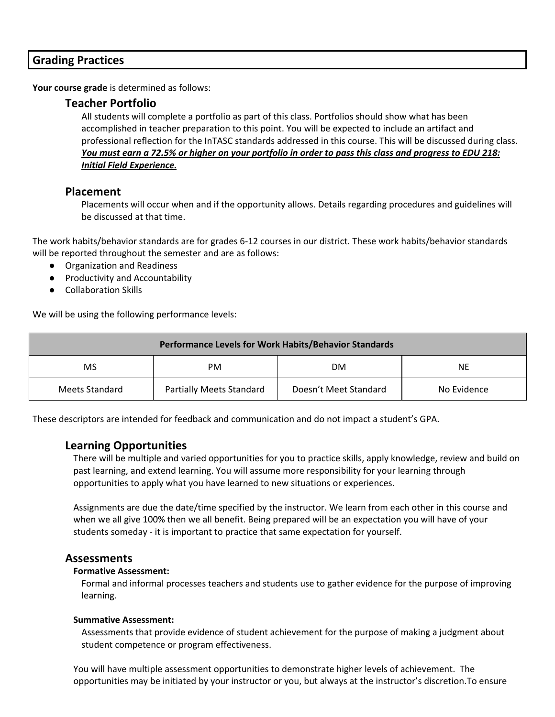## **Grading Practices**

**Your course grade** is determined as follows:

#### **Teacher Portfolio**

All students will complete a portfolio as part of this class. Portfolios should show what has been accomplished in teacher preparation to this point. You will be expected to include an artifact and professional reflection for the InTASC standards addressed in this course. This will be discussed during class. You must earn a 72.5% or higher on your portfolio in order to pass this class and progress to EDU 218: *Initial Field Experience.*

#### **Placement**

Placements will occur when and if the opportunity allows. Details regarding procedures and guidelines will be discussed at that time.

The work habits/behavior standards are for grades 6-12 courses in our district. These work habits/behavior standards will be reported throughout the semester and are as follows:

- Organization and Readiness
- Productivity and Accountability
- Collaboration Skills

We will be using the following performance levels:

| <b>Performance Levels for Work Habits/Behavior Standards</b> |                                 |                       |             |  |
|--------------------------------------------------------------|---------------------------------|-----------------------|-------------|--|
| <b>MS</b>                                                    | PM                              | <b>DM</b>             | NE.         |  |
| Meets Standard                                               | <b>Partially Meets Standard</b> | Doesn't Meet Standard | No Evidence |  |

These descriptors are intended for feedback and communication and do not impact a student's GPA.

#### **Learning Opportunities**

There will be multiple and varied opportunities for you to practice skills, apply knowledge, review and build on past learning, and extend learning. You will assume more responsibility for your learning through opportunities to apply what you have learned to new situations or experiences.

Assignments are due the date/time specified by the instructor. We learn from each other in this course and when we all give 100% then we all benefit. Being prepared will be an expectation you will have of your students someday - it is important to practice that same expectation for yourself.

#### **Assessments**

#### **Formative Assessment:**

Formal and informal processes teachers and students use to gather evidence for the purpose of improving learning.

#### **Summative Assessment:**

Assessments that provide evidence of student achievement for the purpose of making a judgment about student competence or program effectiveness.

You will have multiple assessment opportunities to demonstrate higher levels of achievement. The opportunities may be initiated by your instructor or you, but always at the instructor's discretion.To ensure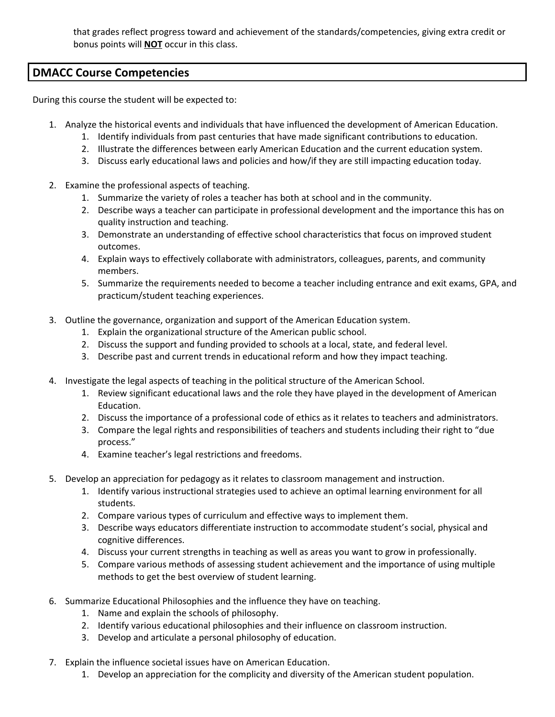that grades reflect progress toward and achievement of the standards/competencies, giving extra credit or bonus points will **NOT** occur in this class.

## **DMACC Course Competencies**

During this course the student will be expected to:

- 1. Analyze the historical events and individuals that have influenced the development of American Education.
	- 1. Identify individuals from past centuries that have made significant contributions to education.
	- 2. Illustrate the differences between early American Education and the current education system.
	- 3. Discuss early educational laws and policies and how/if they are still impacting education today.
- 2. Examine the professional aspects of teaching.
	- 1. Summarize the variety of roles a teacher has both at school and in the community.
	- 2. Describe ways a teacher can participate in professional development and the importance this has on quality instruction and teaching.
	- 3. Demonstrate an understanding of effective school characteristics that focus on improved student outcomes.
	- 4. Explain ways to effectively collaborate with administrators, colleagues, parents, and community members.
	- 5. Summarize the requirements needed to become a teacher including entrance and exit exams, GPA, and practicum/student teaching experiences.
- 3. Outline the governance, organization and support of the American Education system.
	- 1. Explain the organizational structure of the American public school.
	- 2. Discuss the support and funding provided to schools at a local, state, and federal level.
	- 3. Describe past and current trends in educational reform and how they impact teaching.
- 4. Investigate the legal aspects of teaching in the political structure of the American School.
	- 1. Review significant educational laws and the role they have played in the development of American Education.
	- 2. Discuss the importance of a professional code of ethics as it relates to teachers and administrators.
	- 3. Compare the legal rights and responsibilities of teachers and students including their right to "due process."
	- 4. Examine teacher's legal restrictions and freedoms.
- 5. Develop an appreciation for pedagogy as it relates to classroom management and instruction.
	- 1. Identify various instructional strategies used to achieve an optimal learning environment for all students.
	- 2. Compare various types of curriculum and effective ways to implement them.
	- 3. Describe ways educators differentiate instruction to accommodate student's social, physical and cognitive differences.
	- 4. Discuss your current strengths in teaching as well as areas you want to grow in professionally.
	- 5. Compare various methods of assessing student achievement and the importance of using multiple methods to get the best overview of student learning.
- 6. Summarize Educational Philosophies and the influence they have on teaching.
	- 1. Name and explain the schools of philosophy.
	- 2. Identify various educational philosophies and their influence on classroom instruction.
	- 3. Develop and articulate a personal philosophy of education.
- 7. Explain the influence societal issues have on American Education.
	- 1. Develop an appreciation for the complicity and diversity of the American student population.